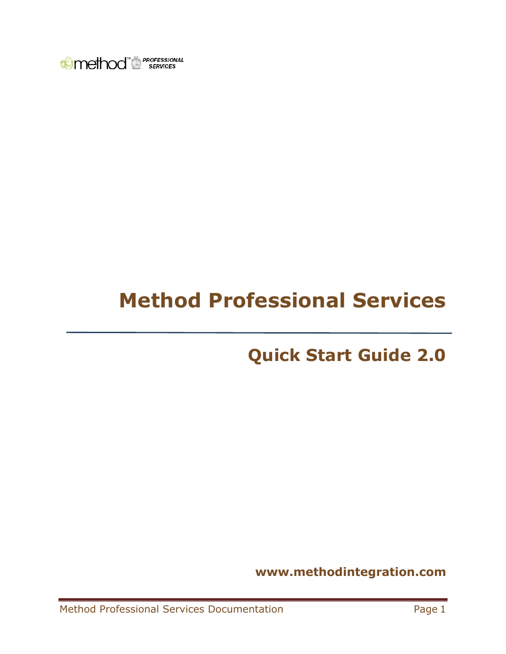

# **Method Professional Services**

# **Quick Start Guide 2.0**

**www.methodintegration.com**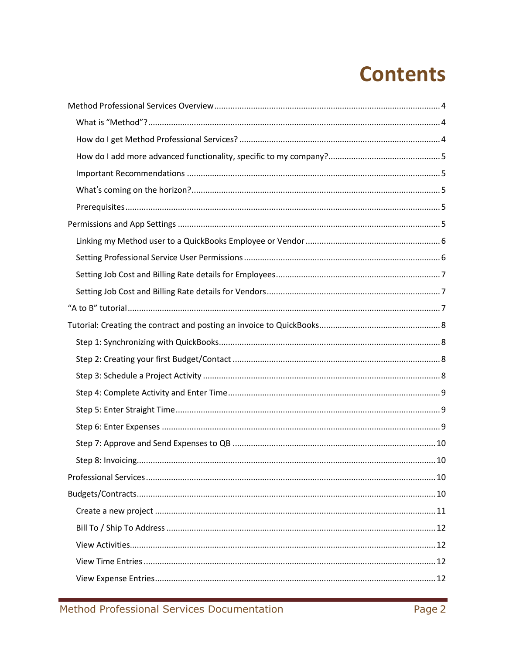# **Contents**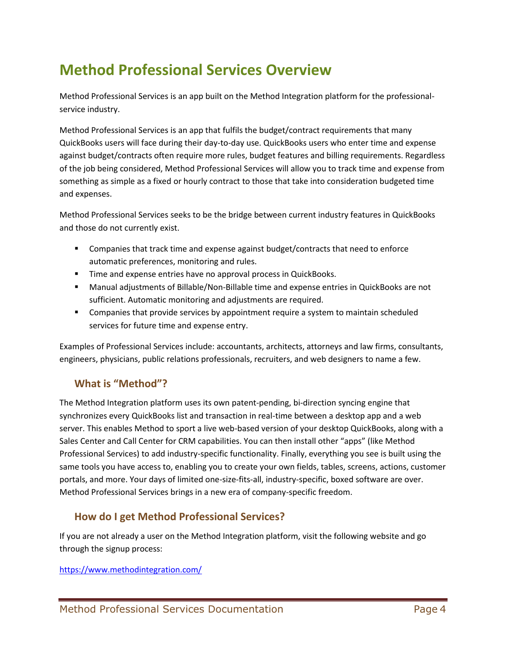# <span id="page-3-0"></span>**Method Professional Services Overview**

Method Professional Services is an app built on the Method Integration platform for the professionalservice industry.

Method Professional Services is an app that fulfils the budget/contract requirements that many QuickBooks users will face during their day-to-day use. QuickBooks users who enter time and expense against budget/contracts often require more rules, budget features and billing requirements. Regardless of the job being considered, Method Professional Services will allow you to track time and expense from something as simple as a fixed or hourly contract to those that take into consideration budgeted time and expenses.

Method Professional Services seeks to be the bridge between current industry features in QuickBooks and those do not currently exist.

- Companies that track time and expense against budget/contracts that need to enforce automatic preferences, monitoring and rules.
- **Time and expense entries have no approval process in QuickBooks.**
- Manual adjustments of Billable/Non-Billable time and expense entries in QuickBooks are not sufficient. Automatic monitoring and adjustments are required.
- **Companies that provide services by appointment require a system to maintain scheduled** services for future time and expense entry.

Examples of Professional Services include: accountants, architects, attorneys and law firms, consultants, engineers, physicians, public relations professionals, recruiters, and web designers to name a few.

# <span id="page-3-1"></span>**What is "Method"?**

The Method Integration platform uses its own patent-pending, bi-direction syncing engine that synchronizes every QuickBooks list and transaction in real-time between a desktop app and a web server. This enables Method to sport a live web-based version of your desktop QuickBooks, along with a Sales Center and Call Center for CRM capabilities. You can then install other "apps" (like Method Professional Services) to add industry-specific functionality. Finally, everything you see is built using the same tools you have access to, enabling you to create your own fields, tables, screens, actions, customer portals, and more. Your days of limited one-size-fits-all, industry-specific, boxed software are over. Method Professional Services brings in a new era of company-specific freedom.

# <span id="page-3-2"></span>**How do I get Method Professional Services?**

If you are not already a user on the Method Integration platform, visit the following website and go through the signup process:

#### [https://www.methodintegration.com/](https://www.methodintegration.com/web/SignUpApp.aspx?app=Method%20Field%20Services)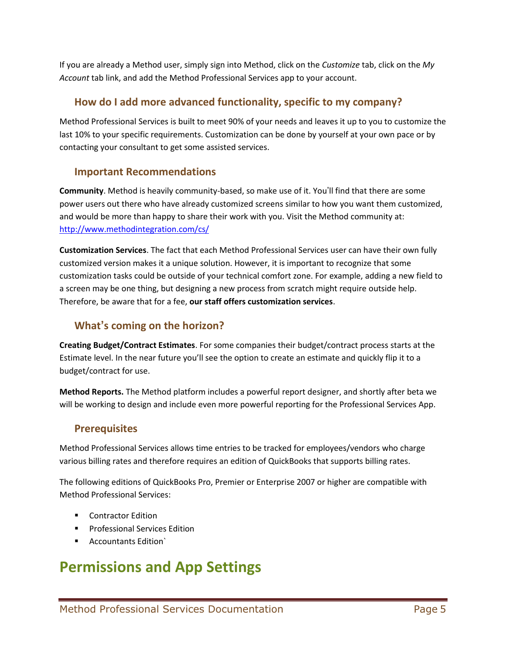If you are already a Method user, simply sign into Method, click on the *Customize* tab, click on the *My Account* tab link, and add the Method Professional Services app to your account.

# <span id="page-4-0"></span>**How do I add more advanced functionality, specific to my company?**

Method Professional Services is built to meet 90% of your needs and leaves it up to you to customize the last 10% to your specific requirements. Customization can be done by yourself at your own pace or by contacting your consultant to get some assisted services.

# <span id="page-4-1"></span>**Important Recommendations**

**Community**. Method is heavily community-based, so make use of it. You'll find that there are some power users out there who have already customized screens similar to how you want them customized, and would be more than happy to share their work with you. Visit the Method community at: <http://www.methodintegration.com/cs/>

**Customization Services**. The fact that each Method Professional Services user can have their own fully customized version makes it a unique solution. However, it is important to recognize that some customization tasks could be outside of your technical comfort zone. For example, adding a new field to a screen may be one thing, but designing a new process from scratch might require outside help. Therefore, be aware that for a fee, **our staff offers customization services**.

# <span id="page-4-2"></span>**What's coming on the horizon?**

**Creating Budget/Contract Estimates**. For some companies their budget/contract process starts at the Estimate level. In the near future you'll see the option to create an estimate and quickly flip it to a budget/contract for use.

**Method Reports.** The Method platform includes a powerful report designer, and shortly after beta we will be working to design and include even more powerful reporting for the Professional Services App.

# <span id="page-4-3"></span>**Prerequisites**

Method Professional Services allows time entries to be tracked for employees/vendors who charge various billing rates and therefore requires an edition of QuickBooks that supports billing rates.

The following editions of QuickBooks Pro, Premier or Enterprise 2007 or higher are compatible with Method Professional Services:

- **EXECO** Contractor Edition
- **Professional Services Edition**
- Accountants Edition`

# <span id="page-4-4"></span>**Permissions and App Settings**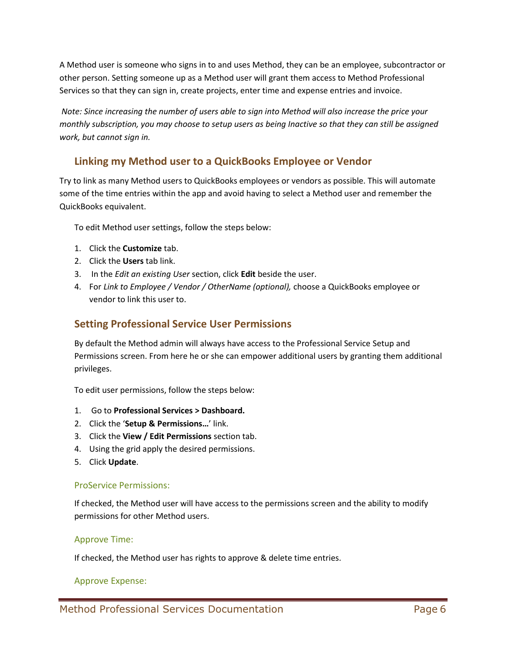A Method user is someone who signs in to and uses Method, they can be an employee, subcontractor or other person. Setting someone up as a Method user will grant them access to Method Professional Services so that they can sign in, create projects, enter time and expense entries and invoice.

*Note: Since increasing the number of users able to sign into Method will also increase the price your monthly subscription, you may choose to setup users as being Inactive so that they can still be assigned work, but cannot sign in.*

# <span id="page-5-0"></span>**Linking my Method user to a QuickBooks Employee or Vendor**

Try to link as many Method users to QuickBooks employees or vendors as possible. This will automate some of the time entries within the app and avoid having to select a Method user and remember the QuickBooks equivalent.

To edit Method user settings, follow the steps below:

- 1. Click the **Customize** tab.
- 2. Click the **Users** tab link.
- 3. In the *Edit an existing User* section, click **Edit** beside the user.
- 4. For *Link to Employee / Vendor / OtherName (optional),* choose a QuickBooks employee or vendor to link this user to.

# <span id="page-5-1"></span>**Setting Professional Service User Permissions**

By default the Method admin will always have access to the Professional Service Setup and Permissions screen. From here he or she can empower additional users by granting them additional privileges.

To edit user permissions, follow the steps below:

- 1. Go to **Professional Services > Dashboard.**
- 2. Click the '**Setup & Permissions…**' link.
- 3. Click the **View / Edit Permissions** section tab.
- 4. Using the grid apply the desired permissions.
- 5. Click **Update**.

#### ProService Permissions:

If checked, the Method user will have access to the permissions screen and the ability to modify permissions for other Method users.

#### Approve Time:

If checked, the Method user has rights to approve & delete time entries.

#### Approve Expense: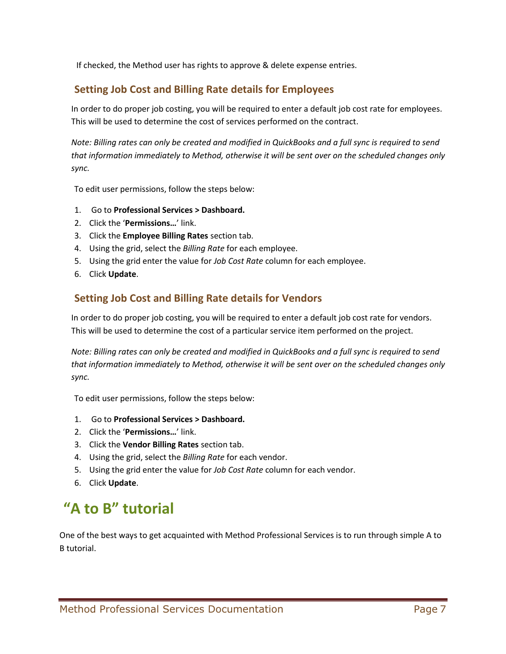If checked, the Method user has rights to approve & delete expense entries.

# <span id="page-6-0"></span>**Setting Job Cost and Billing Rate details for Employees**

In order to do proper job costing, you will be required to enter a default job cost rate for employees. This will be used to determine the cost of services performed on the contract.

*Note: Billing rates can only be created and modified in QuickBooks and a full sync is required to send that information immediately to Method, otherwise it will be sent over on the scheduled changes only sync.*

To edit user permissions, follow the steps below:

- 1. Go to **Professional Services > Dashboard.**
- 2. Click the '**Permissions…**' link.
- 3. Click the **Employee Billing Rates** section tab.
- 4. Using the grid, select the *Billing Rate* for each employee.
- 5. Using the grid enter the value for *Job Cost Rate* column for each employee.
- 6. Click **Update**.

# <span id="page-6-1"></span>**Setting Job Cost and Billing Rate details for Vendors**

In order to do proper job costing, you will be required to enter a default job cost rate for vendors. This will be used to determine the cost of a particular service item performed on the project.

*Note: Billing rates can only be created and modified in QuickBooks and a full sync is required to send that information immediately to Method, otherwise it will be sent over on the scheduled changes only sync.*

To edit user permissions, follow the steps below:

- 1. Go to **Professional Services > Dashboard.**
- 2. Click the '**Permissions…**' link.
- 3. Click the **Vendor Billing Rates** section tab.
- 4. Using the grid, select the *Billing Rate* for each vendor.
- 5. Using the grid enter the value for *Job Cost Rate* column for each vendor.
- 6. Click **Update**.

# <span id="page-6-2"></span>**"A to B" tutorial**

One of the best ways to get acquainted with Method Professional Services is to run through simple A to B tutorial.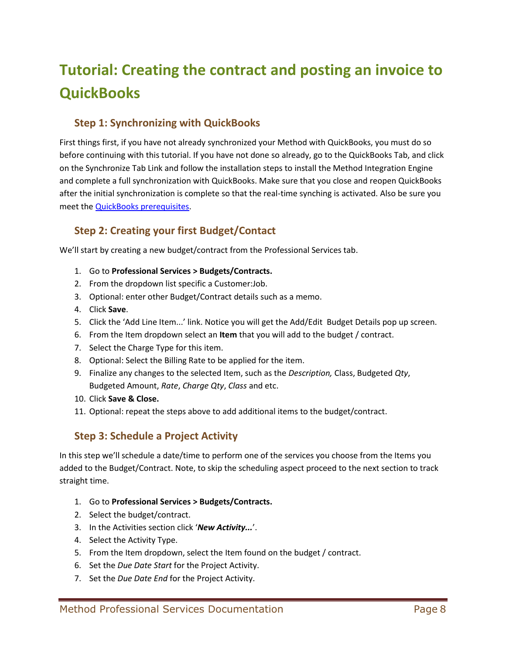# <span id="page-7-0"></span>**Tutorial: Creating the contract and posting an invoice to QuickBooks**

# <span id="page-7-1"></span>**Step 1: Synchronizing with QuickBooks**

First things first, if you have not already synchronized your Method with QuickBooks, you must do so before continuing with this tutorial. If you have not done so already, go to the QuickBooks Tab, and click on the Synchronize Tab Link and follow the installation steps to install the Method Integration Engine and complete a full synchronization with QuickBooks. Make sure that you close and reopen QuickBooks after the initial synchronization is complete so that the real-time synching is activated. Also be sure you meet the [QuickBooks prerequisites.](#page-4-3)

# <span id="page-7-2"></span>**Step 2: Creating your first Budget/Contact**

We'll start by creating a new budget/contract from the Professional Services tab.

- 1. Go to **Professional Services > Budgets/Contracts.**
- 2. From the dropdown list specific a Customer:Job.
- 3. Optional: enter other Budget/Contract details such as a memo.
- 4. Click **Save**.
- 5. Click the 'Add Line Item...' link. Notice you will get the Add/Edit Budget Details pop up screen.
- 6. From the Item dropdown select an **Item** that you will add to the budget / contract.
- 7. Select the Charge Type for this item.
- 8. Optional: Select the Billing Rate to be applied for the item.
- 9. Finalize any changes to the selected Item, such as the *Description,* Class, Budgeted *Qty*, Budgeted Amount, *Rate*, *Charge Qty*, *Class* and etc.
- 10. Click **Save & Close.**
- 11. Optional: repeat the steps above to add additional items to the budget/contract.

# <span id="page-7-3"></span>**Step 3: Schedule a Project Activity**

In this step we'll schedule a date/time to perform one of the services you choose from the Items you added to the Budget/Contract. Note, to skip the scheduling aspect proceed to the next section to track straight time.

- 1. Go to **Professional Services > Budgets/Contracts.**
- 2. Select the budget/contract.
- 3. In the Activities section click '*New Activity...*'.
- 4. Select the Activity Type.
- 5. From the Item dropdown, select the Item found on the budget / contract.
- 6. Set the *Due Date Start* for the Project Activity.
- 7. Set the *Due Date End* for the Project Activity.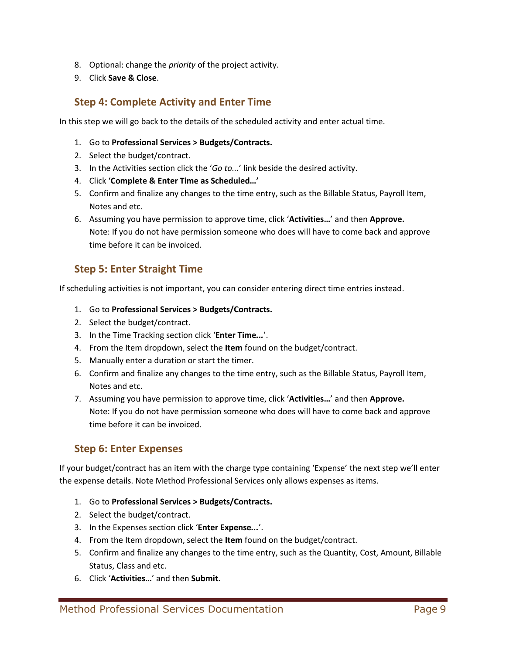- 8. Optional: change the *priority* of the project activity.
- 9. Click **Save & Close**.

# <span id="page-8-0"></span>**Step 4: Complete Activity and Enter Time**

In this step we will go back to the details of the scheduled activity and enter actual time.

- 1. Go to **Professional Services > Budgets/Contracts.**
- 2. Select the budget/contract.
- 3. In the Activities section click the '*Go to...*' link beside the desired activity.
- 4. Click '**Complete & Enter Time as Scheduled…'**
- 5. Confirm and finalize any changes to the time entry, such as the Billable Status, Payroll Item, Notes and etc.
- 6. Assuming you have permission to approve time, click '**Activities…**' and then **Approve.** Note: If you do not have permission someone who does will have to come back and approve time before it can be invoiced.

# <span id="page-8-1"></span>**Step 5: Enter Straight Time**

If scheduling activities is not important, you can consider entering direct time entries instead.

- 1. Go to **Professional Services > Budgets/Contracts.**
- 2. Select the budget/contract.
- 3. In the Time Tracking section click '**Enter Time***...*'.
- 4. From the Item dropdown, select the **Item** found on the budget/contract.
- 5. Manually enter a duration or start the timer.
- 6. Confirm and finalize any changes to the time entry, such as the Billable Status, Payroll Item, Notes and etc.
- 7. Assuming you have permission to approve time, click '**Activities…**' and then **Approve.** Note: If you do not have permission someone who does will have to come back and approve time before it can be invoiced.

# <span id="page-8-2"></span>**Step 6: Enter Expenses**

If your budget/contract has an item with the charge type containing 'Expense' the next step we'll enter the expense details. Note Method Professional Services only allows expenses as items.

- 1. Go to **Professional Services > Budgets/Contracts.**
- 2. Select the budget/contract.
- 3. In the Expenses section click '**Enter Expense***...*'.
- 4. From the Item dropdown, select the **Item** found on the budget/contract.
- 5. Confirm and finalize any changes to the time entry, such as the Quantity, Cost, Amount, Billable Status, Class and etc.
- 6. Click '**Activities…**' and then **Submit.**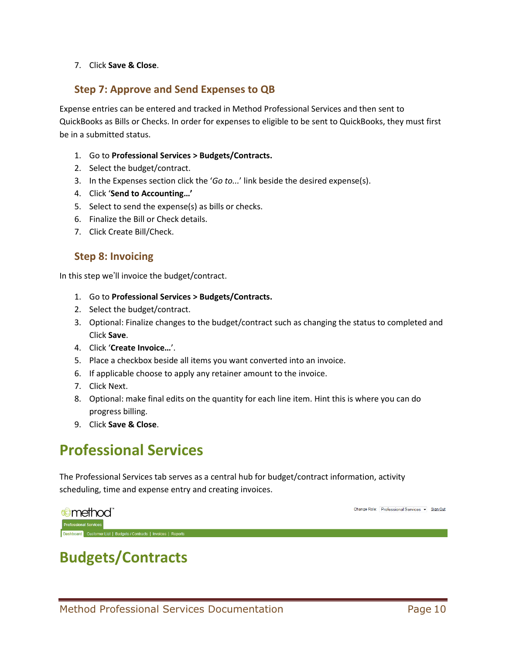#### 7. Click **Save & Close**.

### <span id="page-9-0"></span>**Step 7: Approve and Send Expenses to QB**

Expense entries can be entered and tracked in Method Professional Services and then sent to QuickBooks as Bills or Checks. In order for expenses to eligible to be sent to QuickBooks, they must first be in a submitted status.

- 1. Go to **Professional Services > Budgets/Contracts.**
- 2. Select the budget/contract.
- 3. In the Expenses section click the '*Go to...*' link beside the desired expense(s).
- 4. Click '**Send to Accounting…'**
- 5. Select to send the expense(s) as bills or checks.
- 6. Finalize the Bill or Check details.
- 7. Click Create Bill/Check.

### <span id="page-9-1"></span>**Step 8: Invoicing**

In this step we'll invoice the budget/contract.

- 1. Go to **Professional Services > Budgets/Contracts.**
- 2. Select the budget/contract.
- 3. Optional: Finalize changes to the budget/contract such as changing the status to completed and Click **Save**.
- 4. Click '**Create Invoice…**'.
- 5. Place a checkbox beside all items you want converted into an invoice.
- 6. If applicable choose to apply any retainer amount to the invoice.
- 7. Click Next.
- 8. Optional: make final edits on the quantity for each line item. Hint this is where you can do progress billing.
- 9. Click **Save & Close**.

# <span id="page-9-2"></span>**Professional Services**

The Professional Services tab serves as a central hub for budget/contract information, activity scheduling, time and expense entry and creating invoices.



Change Role: Professional Services v Sign Out

# <span id="page-9-3"></span>**Budgets/Contracts**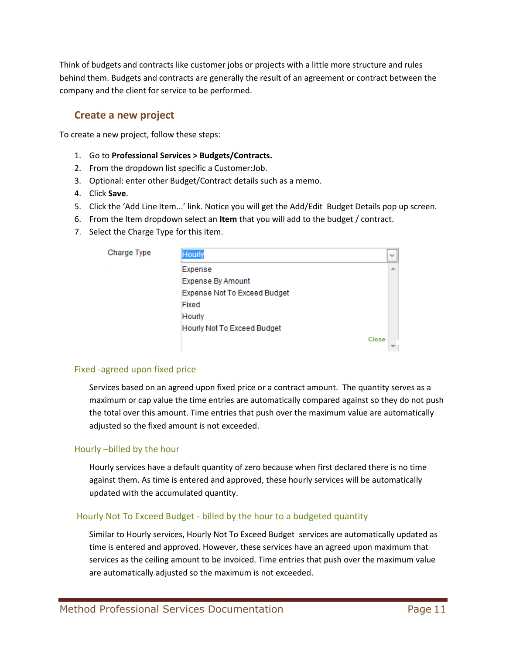Think of budgets and contracts like customer jobs or projects with a little more structure and rules behind them. Budgets and contracts are generally the result of an agreement or contract between the company and the client for service to be performed.

### <span id="page-10-0"></span>**Create a new project**

To create a new project, follow these steps:

- 1. Go to **Professional Services > Budgets/Contracts.**
- 2. From the dropdown list specific a Customer:Job.
- 3. Optional: enter other Budget/Contract details such as a memo.
- 4. Click **Save**.
- 5. Click the 'Add Line Item...' link. Notice you will get the Add/Edit Budget Details pop up screen.
- 6. From the Item dropdown select an **Item** that you will add to the budget / contract.
- 7. Select the Charge Type for this item.

| Charge Type | Hourly                              |       |
|-------------|-------------------------------------|-------|
|             | Expense                             |       |
|             | Expense By Amount                   |       |
|             | <b>Expense Not To Exceed Budget</b> |       |
|             | Fixed                               |       |
|             | Hourly                              |       |
|             | Hourly Not To Exceed Budget         |       |
|             |                                     | Close |
|             |                                     |       |

#### Fixed -agreed upon fixed price

Services based on an agreed upon fixed price or a contract amount. The quantity serves as a maximum or cap value the time entries are automatically compared against so they do not push the total over this amount. Time entries that push over the maximum value are automatically adjusted so the fixed amount is not exceeded.

#### Hourly –billed by the hour

Hourly services have a default quantity of zero because when first declared there is no time against them. As time is entered and approved, these hourly services will be automatically updated with the accumulated quantity.

#### Hourly Not To Exceed Budget - billed by the hour to a budgeted quantity

Similar to Hourly services, Hourly Not To Exceed Budget services are automatically updated as time is entered and approved. However, these services have an agreed upon maximum that services as the ceiling amount to be invoiced. Time entries that push over the maximum value are automatically adjusted so the maximum is not exceeded.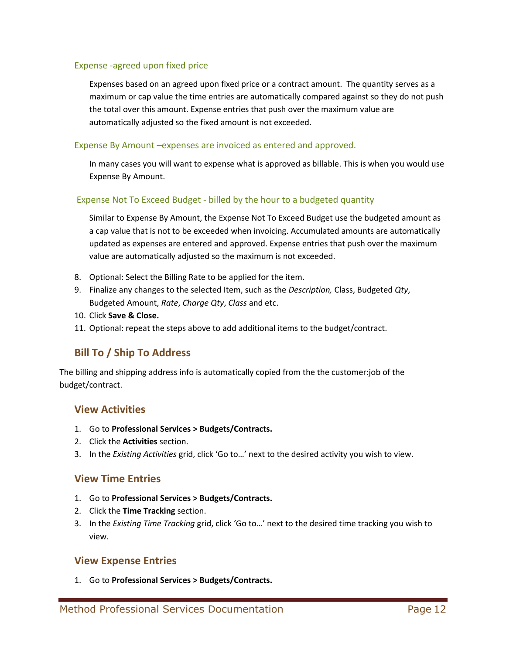#### Expense -agreed upon fixed price

Expenses based on an agreed upon fixed price or a contract amount. The quantity serves as a maximum or cap value the time entries are automatically compared against so they do not push the total over this amount. Expense entries that push over the maximum value are automatically adjusted so the fixed amount is not exceeded.

#### Expense By Amount –expenses are invoiced as entered and approved.

In many cases you will want to expense what is approved as billable. This is when you would use Expense By Amount.

#### Expense Not To Exceed Budget - billed by the hour to a budgeted quantity

Similar to Expense By Amount, the Expense Not To Exceed Budget use the budgeted amount as a cap value that is not to be exceeded when invoicing. Accumulated amounts are automatically updated as expenses are entered and approved. Expense entries that push over the maximum value are automatically adjusted so the maximum is not exceeded.

- 8. Optional: Select the Billing Rate to be applied for the item.
- 9. Finalize any changes to the selected Item, such as the *Description,* Class, Budgeted *Qty*, Budgeted Amount, *Rate*, *Charge Qty*, *Class* and etc.
- 10. Click **Save & Close.**
- 11. Optional: repeat the steps above to add additional items to the budget/contract.

# <span id="page-11-0"></span>**Bill To / Ship To Address**

The billing and shipping address info is automatically copied from the the customer:job of the budget/contract.

#### <span id="page-11-1"></span>**View Activities**

- 1. Go to **Professional Services > Budgets/Contracts.**
- 2. Click the **Activities** section.
- 3. In the *Existing Activities* grid, click 'Go to…' next to the desired activity you wish to view.

#### <span id="page-11-2"></span>**View Time Entries**

- 1. Go to **Professional Services > Budgets/Contracts.**
- 2. Click the **Time Tracking** section.
- 3. In the *Existing Time Tracking* grid, click 'Go to…' next to the desired time tracking you wish to view.

#### <span id="page-11-3"></span>**View Expense Entries**

1. Go to **Professional Services > Budgets/Contracts.**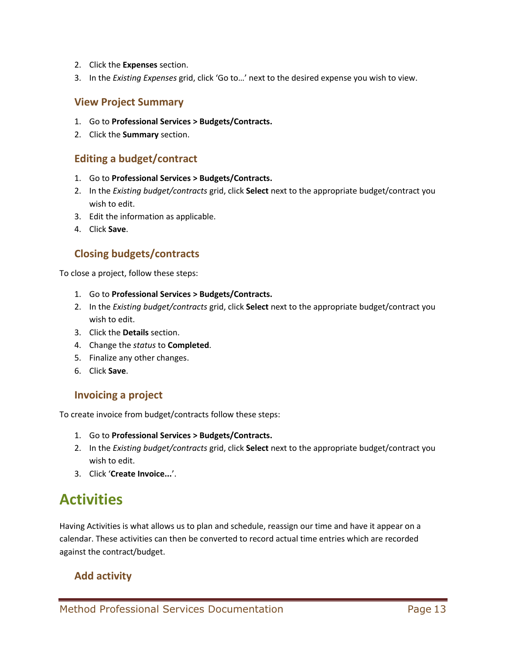- 2. Click the **Expenses** section.
- 3. In the *Existing Expenses* grid, click 'Go to…' next to the desired expense you wish to view.

### <span id="page-12-0"></span>**View Project Summary**

- 1. Go to **Professional Services > Budgets/Contracts.**
- 2. Click the **Summary** section.

# <span id="page-12-1"></span>**Editing a budget/contract**

- 1. Go to **Professional Services > Budgets/Contracts.**
- 2. In the *Existing budget/contracts* grid, click **Select** next to the appropriate budget/contract you wish to edit.
- 3. Edit the information as applicable.
- 4. Click **Save**.

# <span id="page-12-2"></span>**Closing budgets/contracts**

To close a project, follow these steps:

- 1. Go to **Professional Services > Budgets/Contracts.**
- 2. In the *Existing budget/contracts* grid, click **Select** next to the appropriate budget/contract you wish to edit.
- 3. Click the **Details** section.
- 4. Change the *status* to **Completed**.
- 5. Finalize any other changes.
- 6. Click **Save**.

# <span id="page-12-3"></span>**Invoicing a project**

To create invoice from budget/contracts follow these steps:

- 1. Go to **Professional Services > Budgets/Contracts.**
- 2. In the *Existing budget/contracts* grid, click **Select** next to the appropriate budget/contract you wish to edit.
- 3. Click '**Create Invoice...**'.

# <span id="page-12-4"></span>**Activities**

Having Activities is what allows us to plan and schedule, reassign our time and have it appear on a calendar. These activities can then be converted to record actual time entries which are recorded against the contract/budget.

# <span id="page-12-5"></span>**Add activity**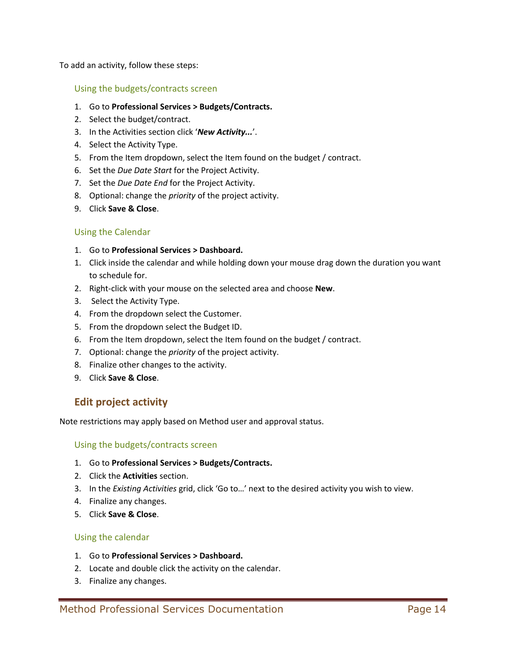To add an activity, follow these steps:

#### Using the budgets/contracts screen

- 1. Go to **Professional Services > Budgets/Contracts.**
- 2. Select the budget/contract.
- 3. In the Activities section click '*New Activity...*'.
- 4. Select the Activity Type.
- 5. From the Item dropdown, select the Item found on the budget / contract.
- 6. Set the *Due Date Start* for the Project Activity.
- 7. Set the *Due Date End* for the Project Activity.
- 8. Optional: change the *priority* of the project activity.
- 9. Click **Save & Close**.

#### Using the Calendar

- 1. Go to **Professional Services > Dashboard.**
- 1. Click inside the calendar and while holding down your mouse drag down the duration you want to schedule for.
- 2. Right-click with your mouse on the selected area and choose **New**.
- 3. Select the Activity Type.
- 4. From the dropdown select the Customer.
- 5. From the dropdown select the Budget ID.
- 6. From the Item dropdown, select the Item found on the budget / contract.
- 7. Optional: change the *priority* of the project activity.
- 8. Finalize other changes to the activity.
- 9. Click **Save & Close**.

# <span id="page-13-0"></span>**Edit project activity**

Note restrictions may apply based on Method user and approval status.

#### Using the budgets/contracts screen

- 1. Go to **Professional Services > Budgets/Contracts.**
- 2. Click the **Activities** section.
- 3. In the *Existing Activities* grid, click 'Go to…' next to the desired activity you wish to view.
- 4. Finalize any changes.
- 5. Click **Save & Close**.

#### Using the calendar

- 1. Go to **Professional Services > Dashboard.**
- 2. Locate and double click the activity on the calendar.
- 3. Finalize any changes.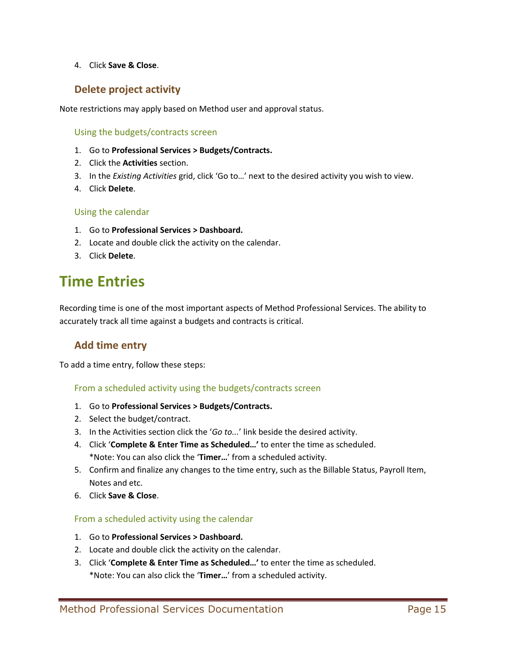#### 4. Click **Save & Close**.

# <span id="page-14-0"></span>**Delete project activity**

Note restrictions may apply based on Method user and approval status.

Using the budgets/contracts screen

- 1. Go to **Professional Services > Budgets/Contracts.**
- 2. Click the **Activities** section.
- 3. In the *Existing Activities* grid, click 'Go to…' next to the desired activity you wish to view.
- 4. Click **Delete**.

#### Using the calendar

- 1. Go to **Professional Services > Dashboard.**
- 2. Locate and double click the activity on the calendar.
- 3. Click **Delete**.

# <span id="page-14-1"></span>**Time Entries**

Recording time is one of the most important aspects of Method Professional Services. The ability to accurately track all time against a budgets and contracts is critical.

# <span id="page-14-2"></span>**Add time entry**

To add a time entry, follow these steps:

#### From a scheduled activity using the budgets/contracts screen

- 1. Go to **Professional Services > Budgets/Contracts.**
- 2. Select the budget/contract.
- 3. In the Activities section click the '*Go to...*' link beside the desired activity.
- 4. Click '**Complete & Enter Time as Scheduled…'** to enter the time as scheduled. \*Note: You can also click the '**Timer…**' from a scheduled activity.
- 5. Confirm and finalize any changes to the time entry, such as the Billable Status, Payroll Item, Notes and etc.
- 6. Click **Save & Close**.

#### From a scheduled activity using the calendar

- 1. Go to **Professional Services > Dashboard.**
- 2. Locate and double click the activity on the calendar.
- 3. Click '**Complete & Enter Time as Scheduled…'** to enter the time as scheduled. \*Note: You can also click the '**Timer…**' from a scheduled activity.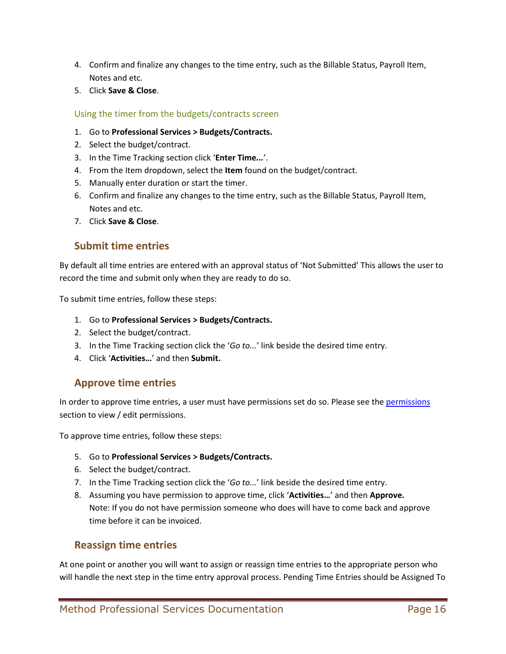- 4. Confirm and finalize any changes to the time entry, such as the Billable Status, Payroll Item, Notes and etc.
- 5. Click **Save & Close**.

#### Using the timer from the budgets/contracts screen

- 1. Go to **Professional Services > Budgets/Contracts.**
- 2. Select the budget/contract.
- 3. In the Time Tracking section click '**Enter Time***...*'.
- 4. From the Item dropdown, select the **Item** found on the budget/contract.
- 5. Manually enter duration or start the timer.
- 6. Confirm and finalize any changes to the time entry, such as the Billable Status, Payroll Item, Notes and etc.
- 7. Click **Save & Close**.

### <span id="page-15-0"></span>**Submit time entries**

By default all time entries are entered with an approval status of 'Not Submitted' This allows the user to record the time and submit only when they are ready to do so.

To submit time entries, follow these steps:

- 1. Go to **Professional Services > Budgets/Contracts.**
- 2. Select the budget/contract.
- 3. In the Time Tracking section click the '*Go to...*' link beside the desired time entry.
- 4. Click '**Activities…**' and then **Submit.**

### <span id="page-15-1"></span>**Approve time entries**

In order to approve time entries, a user must have [permissions](#page-5-1) set do so. Please see the permissions section to view / edit permissions.

To approve time entries, follow these steps:

- 5. Go to **Professional Services > Budgets/Contracts.**
- 6. Select the budget/contract.
- 7. In the Time Tracking section click the '*Go to...*' link beside the desired time entry.
- 8. Assuming you have permission to approve time, click '**Activities…**' and then **Approve.** Note: If you do not have permission someone who does will have to come back and approve time before it can be invoiced.

### <span id="page-15-2"></span>**Reassign time entries**

At one point or another you will want to assign or reassign time entries to the appropriate person who will handle the next step in the time entry approval process. Pending Time Entries should be Assigned To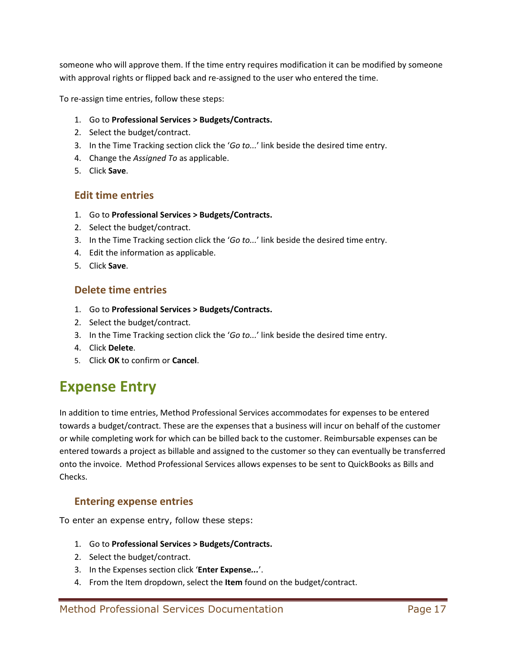someone who will approve them. If the time entry requires modification it can be modified by someone with approval rights or flipped back and re-assigned to the user who entered the time.

To re-assign time entries, follow these steps:

- 1. Go to **Professional Services > Budgets/Contracts.**
- 2. Select the budget/contract.
- 3. In the Time Tracking section click the '*Go to...*' link beside the desired time entry.
- 4. Change the *Assigned To* as applicable.
- 5. Click **Save**.

### <span id="page-16-0"></span>**Edit time entries**

- 1. Go to **Professional Services > Budgets/Contracts.**
- 2. Select the budget/contract.
- 3. In the Time Tracking section click the '*Go to...*' link beside the desired time entry.
- 4. Edit the information as applicable.
- 5. Click **Save**.

### <span id="page-16-1"></span>**Delete time entries**

- 1. Go to **Professional Services > Budgets/Contracts.**
- 2. Select the budget/contract.
- 3. In the Time Tracking section click the '*Go to...*' link beside the desired time entry.
- 4. Click **Delete**.
- 5. Click **OK** to confirm or **Cancel**.

# <span id="page-16-2"></span>**Expense Entry**

In addition to time entries, Method Professional Services accommodates for expenses to be entered towards a budget/contract. These are the expenses that a business will incur on behalf of the customer or while completing work for which can be billed back to the customer. Reimbursable expenses can be entered towards a project as billable and assigned to the customer so they can eventually be transferred onto the invoice. Method Professional Services allows expenses to be sent to QuickBooks as Bills and Checks.

# <span id="page-16-3"></span>**Entering expense entries**

To enter an expense entry, follow these steps:

- 1. Go to **Professional Services > Budgets/Contracts.**
- 2. Select the budget/contract.
- 3. In the Expenses section click '**Enter Expense***...*'.
- 4. From the Item dropdown, select the **Item** found on the budget/contract.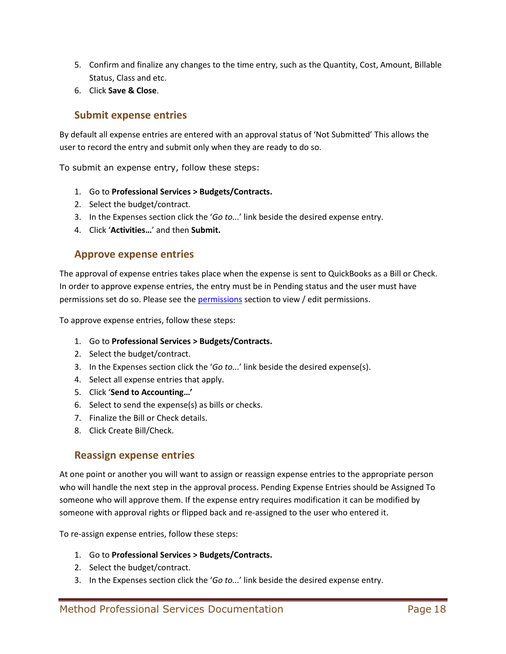- 5. Confirm and finalize any changes to the time entry, such as the Quantity, Cost, Amount, Billable Status, Class and etc.
- 6. Click **Save & Close**.

### <span id="page-17-0"></span>**Submit expense entries**

By default all expense entries are entered with an approval status of 'Not Submitted' This allows the user to record the entry and submit only when they are ready to do so.

To submit an expense entry, follow these steps:

- 1. Go to **Professional Services > Budgets/Contracts.**
- 2. Select the budget/contract.
- 3. In the Expenses section click the '*Go to...*' link beside the desired expense entry.
- 4. Click '**Activities…**' and then **Submit.**

### <span id="page-17-1"></span>**Approve expense entries**

The approval of expense entries takes place when the expense is sent to QuickBooks as a Bill or Check. In order to approve expense entries, the entry must be in Pending status and the user must have permissions set do so. Please see th[e permissions](#page-5-1) section to view / edit permissions.

To approve expense entries, follow these steps:

- 1. Go to **Professional Services > Budgets/Contracts.**
- 2. Select the budget/contract.
- 3. In the Expenses section click the '*Go to...*' link beside the desired expense(s).
- 4. Select all expense entries that apply.
- 5. Click '**Send to Accounting…'**
- 6. Select to send the expense(s) as bills or checks.
- 7. Finalize the Bill or Check details.
- 8. Click Create Bill/Check.

#### <span id="page-17-2"></span>**Reassign expense entries**

At one point or another you will want to assign or reassign expense entries to the appropriate person who will handle the next step in the approval process. Pending Expense Entries should be Assigned To someone who will approve them. If the expense entry requires modification it can be modified by someone with approval rights or flipped back and re-assigned to the user who entered it.

To re-assign expense entries, follow these steps:

- 1. Go to **Professional Services > Budgets/Contracts.**
- 2. Select the budget/contract.
- 3. In the Expenses section click the '*Go to...*' link beside the desired expense entry.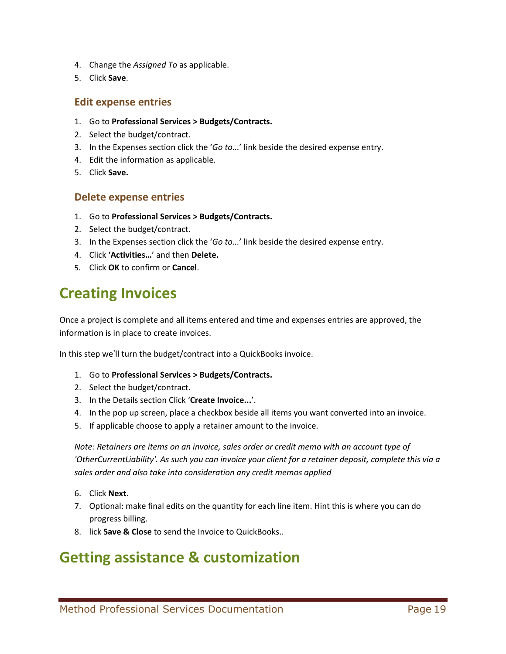- 4. Change the *Assigned To* as applicable.
- 5. Click **Save**.

#### <span id="page-18-0"></span>**Edit expense entries**

- 1. Go to **Professional Services > Budgets/Contracts.**
- 2. Select the budget/contract.
- 3. In the Expenses section click the '*Go to...*' link beside the desired expense entry.
- 4. Edit the information as applicable.
- 5. Click **Save.**

### <span id="page-18-1"></span>**Delete expense entries**

- 1. Go to **Professional Services > Budgets/Contracts.**
- 2. Select the budget/contract.
- 3. In the Expenses section click the '*Go to...*' link beside the desired expense entry.
- 4. Click '**Activities…**' and then **Delete.**
- 5. Click **OK** to confirm or **Cancel**.

# <span id="page-18-2"></span>**Creating Invoices**

Once a project is complete and all items entered and time and expenses entries are approved, the information is in place to create invoices.

In this step we'll turn the budget/contract into a QuickBooks invoice.

- 1. Go to **Professional Services > Budgets/Contracts.**
- 2. Select the budget/contract.
- 3. In the Details section Click '**Create Invoice...**'.
- 4. In the pop up screen, place a checkbox beside all items you want converted into an invoice.
- 5. If applicable choose to apply a retainer amount to the invoice.

*Note: Retainers are items on an invoice, sales order or credit memo with an account type of 'OtherCurrentLiability'. As such you can invoice your client for a retainer deposit, complete this via a sales order and also take into consideration any credit memos applied*

- 6. Click **Next**.
- 7. Optional: make final edits on the quantity for each line item. Hint this is where you can do progress billing.
- 8. lick **Save & Close** to send the Invoice to QuickBooks..

# <span id="page-18-3"></span>**Getting assistance & customization**